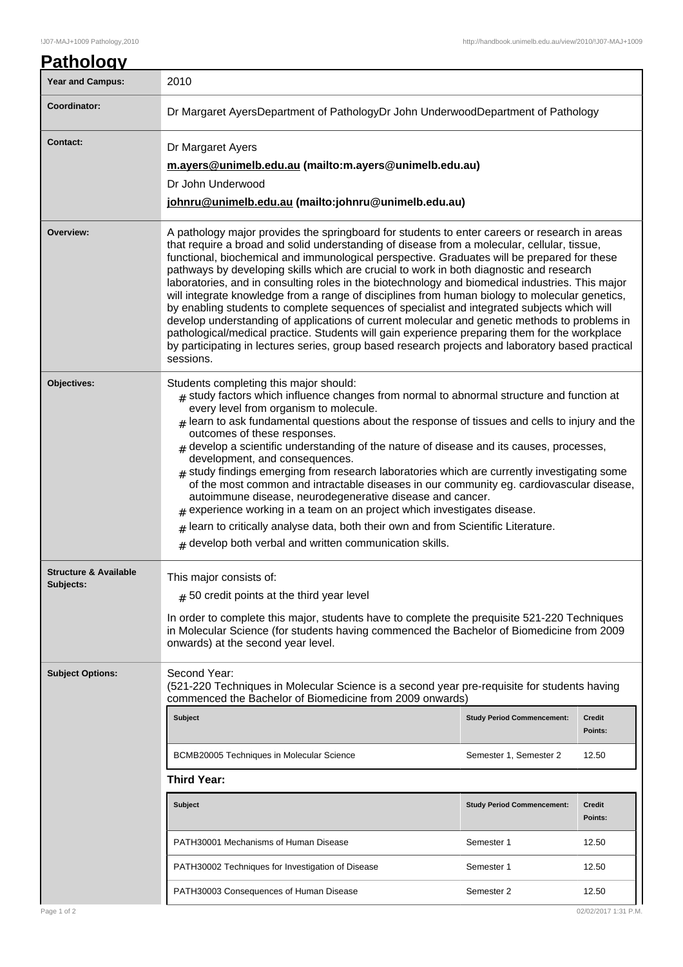|                  | $1001$ TVD to 1000 T attrongly, 2010 |                    |  |  |  |
|------------------|--------------------------------------|--------------------|--|--|--|
| <b>Pathology</b> |                                      |                    |  |  |  |
|                  | <b>Year and Campus:</b>              | 2010               |  |  |  |
|                  | Coordinator:                         | Dr Margaret AversD |  |  |  |

| Coordinator:                                  | Dr Margaret AyersDepartment of PathologyDr John UnderwoodDepartment of Pathology                                                                                                                                                                                                                                                                                                                                                                                                                                                                                                                                                                                                                                                                                                                                                                                                                                                                                                                                |                                   |                          |  |  |  |
|-----------------------------------------------|-----------------------------------------------------------------------------------------------------------------------------------------------------------------------------------------------------------------------------------------------------------------------------------------------------------------------------------------------------------------------------------------------------------------------------------------------------------------------------------------------------------------------------------------------------------------------------------------------------------------------------------------------------------------------------------------------------------------------------------------------------------------------------------------------------------------------------------------------------------------------------------------------------------------------------------------------------------------------------------------------------------------|-----------------------------------|--------------------------|--|--|--|
| <b>Contact:</b>                               | Dr Margaret Ayers<br>m.ayers@unimelb.edu.au (mailto:m.ayers@unimelb.edu.au)<br>Dr John Underwood<br>johnru@unimelb.edu.au (mailto:johnru@unimelb.edu.au)                                                                                                                                                                                                                                                                                                                                                                                                                                                                                                                                                                                                                                                                                                                                                                                                                                                        |                                   |                          |  |  |  |
| Overview:                                     | A pathology major provides the springboard for students to enter careers or research in areas<br>that require a broad and solid understanding of disease from a molecular, cellular, tissue,<br>functional, biochemical and immunological perspective. Graduates will be prepared for these<br>pathways by developing skills which are crucial to work in both diagnostic and research<br>laboratories, and in consulting roles in the biotechnology and biomedical industries. This major<br>will integrate knowledge from a range of disciplines from human biology to molecular genetics,<br>by enabling students to complete sequences of specialist and integrated subjects which will<br>develop understanding of applications of current molecular and genetic methods to problems in<br>pathological/medical practice. Students will gain experience preparing them for the workplace<br>by participating in lectures series, group based research projects and laboratory based practical<br>sessions. |                                   |                          |  |  |  |
| Objectives:                                   | Students completing this major should:<br>$_{\text{\#}}$ study factors which influence changes from normal to abnormal structure and function at<br>every level from organism to molecule.<br>$#$ learn to ask fundamental questions about the response of tissues and cells to injury and the<br>outcomes of these responses.<br>$#$ develop a scientific understanding of the nature of disease and its causes, processes,<br>development, and consequences.<br>$_{\#}$ study findings emerging from research laboratories which are currently investigating some<br>of the most common and intractable diseases in our community eg. cardiovascular disease,<br>autoimmune disease, neurodegenerative disease and cancer.<br>$*$ experience working in a team on an project which investigates disease.<br>$_{\#}$ learn to critically analyse data, both their own and from Scientific Literature.<br>$#$ develop both verbal and written communication skills.                                             |                                   |                          |  |  |  |
| <b>Structure &amp; Available</b><br>Subjects: | This major consists of:<br>$#$ 50 credit points at the third year level<br>In order to complete this major, students have to complete the prequisite 521-220 Techniques<br>in Molecular Science (for students having commenced the Bachelor of Biomedicine from 2009<br>onwards) at the second year level.                                                                                                                                                                                                                                                                                                                                                                                                                                                                                                                                                                                                                                                                                                      |                                   |                          |  |  |  |
| <b>Subject Options:</b>                       | Second Year:<br>(521-220 Techniques in Molecular Science is a second year pre-requisite for students having<br>commenced the Bachelor of Biomedicine from 2009 onwards)<br><b>Subject</b><br><b>Study Period Commencement:</b><br><b>Credit</b>                                                                                                                                                                                                                                                                                                                                                                                                                                                                                                                                                                                                                                                                                                                                                                 |                                   |                          |  |  |  |
|                                               | BCMB20005 Techniques in Molecular Science                                                                                                                                                                                                                                                                                                                                                                                                                                                                                                                                                                                                                                                                                                                                                                                                                                                                                                                                                                       | Semester 1, Semester 2            | Points:<br>12.50         |  |  |  |
|                                               | <b>Third Year:</b>                                                                                                                                                                                                                                                                                                                                                                                                                                                                                                                                                                                                                                                                                                                                                                                                                                                                                                                                                                                              |                                   |                          |  |  |  |
|                                               | <b>Subject</b>                                                                                                                                                                                                                                                                                                                                                                                                                                                                                                                                                                                                                                                                                                                                                                                                                                                                                                                                                                                                  | <b>Study Period Commencement:</b> | <b>Credit</b><br>Points: |  |  |  |
|                                               | PATH30001 Mechanisms of Human Disease                                                                                                                                                                                                                                                                                                                                                                                                                                                                                                                                                                                                                                                                                                                                                                                                                                                                                                                                                                           | Semester 1                        | 12.50                    |  |  |  |
|                                               | PATH30002 Techniques for Investigation of Disease                                                                                                                                                                                                                                                                                                                                                                                                                                                                                                                                                                                                                                                                                                                                                                                                                                                                                                                                                               | Semester 1                        | 12.50                    |  |  |  |
|                                               | PATH30003 Consequences of Human Disease                                                                                                                                                                                                                                                                                                                                                                                                                                                                                                                                                                                                                                                                                                                                                                                                                                                                                                                                                                         | Semester 2                        | 12.50                    |  |  |  |